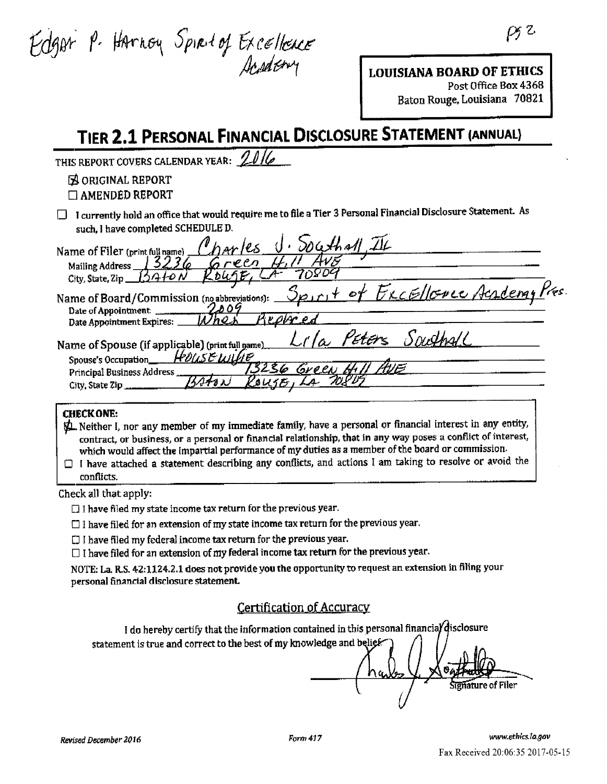Edgar P. Harnoy Spirit of Excellence

グ2

**LOUISIANA BOARD OF ETHICS** Post Office Box 4368 Baton Rouge, Louisiana 70821

## TIER 2.1 PERSONAL FINANCIAL DISCLOSURE STATEMENT (ANNUAL)

THIS REPORT COVERS CALENDAR YEAR: 2016

**EN ORIGINAL REPORT TI AMENDED REPORT** 

□ I currently hold an office that would require me to file a Tier 3 Personal Financial Disclosure Statement. As such I have completed SCHEDULE D.

| Name of Filer (print full name)                                                      |
|--------------------------------------------------------------------------------------|
| Mailing Address_                                                                     |
| Kouse<br>City, State, Zip                                                            |
|                                                                                      |
| + of FLCGHOULE Academy Pres.<br>Name of Board/Commission (no abbreviations):<br>2009 |
| Date of Appointment:<br>$\sqrt{v}$ also $\rho$                                       |
| Date Appointment Expires:                                                            |
| <b><i>Pétére</i></b><br>Name of Spouse (if applicable) (print full name).            |
| <u>Huisciuilie</u><br>Spouse's Occupation                                            |
| Principal Business Address.                                                          |
| フッレが<br>バクチョッ<br>City, State Zip                                                     |
|                                                                                      |

#### **CHECK ONE:**

- \$1. Neither I, nor any member of my immediate family, have a personal or financial interest in any entity, contract, or business, or a personal or financial relationship, that in any way poses a conflict of interest, which would affect the impartial performance of my duties as a member of the board or commission.
- $\Box$  I have attached a statement describing any conflicts, and actions I am taking to resolve or avoid the conflicts.

Check all that apply:

- $\square$  I have filed my state income tax return for the previous year.
- $\Box$  I have filed for an extension of my state income tax return for the previous year.
- [] I have filed my federal income tax return for the previous year.
- $\Box$  I have filed for an extension of my federal income tax return for the previous year.

NOTE: La. R.S. 42:1124.2.1 does not provide you the opportunity to request an extension in filing your personal financial disclosure statement.

#### Certification of Accuracy

I do hereby certify that the information contained in this personal financial disclosure statement is true and correct to the best of my knowledge and belief: na) **Tature of Filer**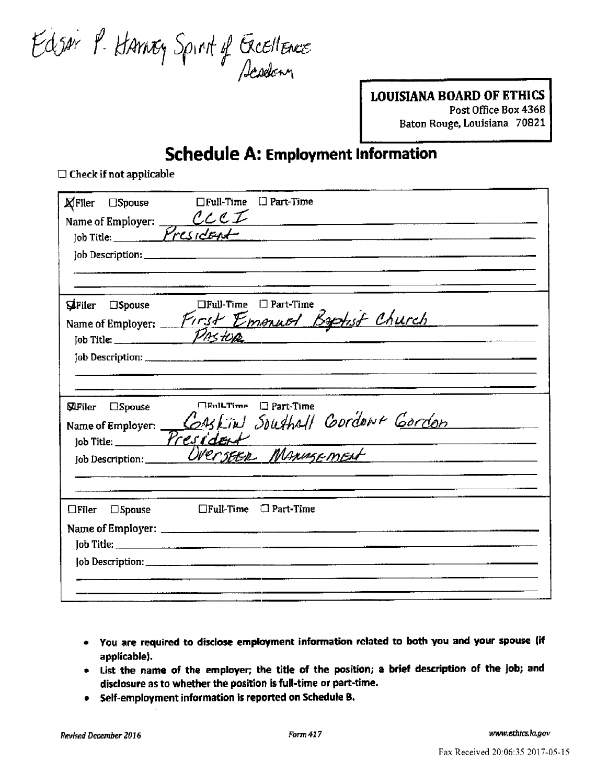

**LOUISIANA BOARD OF ETHICS** Post Office Box 4368 Baton Rouge, Louisiana 70821

### **Schedule A: Employment Information**

 $\square$  Check if not applicable

| <b>X</b> Filer □Spouse<br>Name of Employer: CCCI                | $\Box$ Full-Time $\Box$ Part-Time<br>tan di kacamatan Sebagai Propinsi Sebagai Propinsi Sebagai Propinsi Sebagai Propinsi Sebagai Propinsi Sebagai P<br>Propinsi Sebagai Propinsi Sebagai Propinsi Sebagai Propinsi Sebagai Propinsi Sebagai Propinsi Sebagai Propins |
|-----------------------------------------------------------------|-----------------------------------------------------------------------------------------------------------------------------------------------------------------------------------------------------------------------------------------------------------------------|
| Striler ESpouse<br>Job Title: $PAS$ ton                         | $\Box$ Full-Time $\Box$ Part-Time<br>Name of Employer: First Emmanut Baptist Church                                                                                                                                                                                   |
| <b>SUFiler ESpouse</b><br>Name of Employer:<br>Job Description: | $\Box$ Rull_Time<br>$\Box$ Part-Time<br>Caskin Southall Coordont Gordon<br>President<br>Overseen Management<br>Job Title: $Prestder$                                                                                                                                  |
| $\Box$ Filer<br>$\square$ Spouse                                | $\Box$ Full-Time $\Box$ Part-Time                                                                                                                                                                                                                                     |

- . You are required to disclose employment information related to both you and your spouse (if applicable).
- . List the name of the employer; the title of the position; a brief description of the job; and disclosure as to whether the position is full-time or part-time.
- Self-employment information is reported on Schedule B.  $\bullet$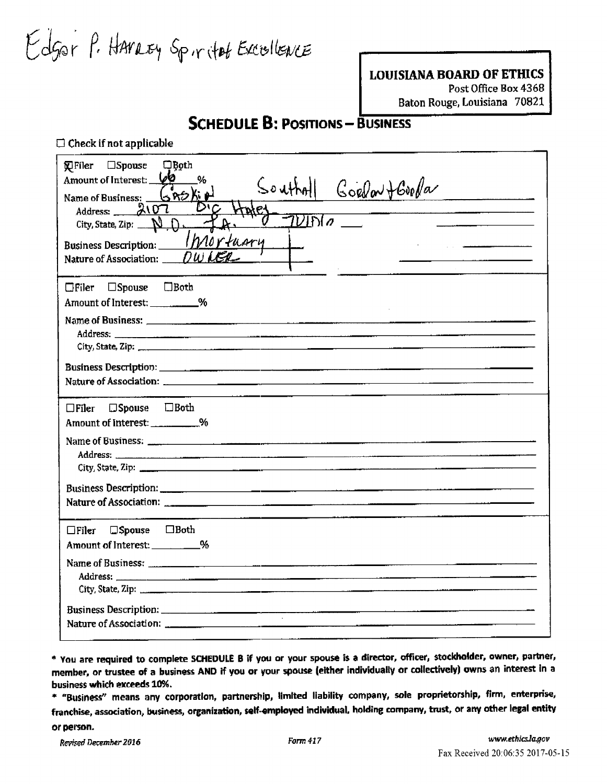# Edgar P. HAVREY Spiritet Excellence

#### **LOUISIANA BOARD OF ETHICS** Post Office Box 4368

Baton Rouge, Louisiana 70821

#### **SCHEDULE B: POSITIONS - BUSINESS**

 $\Box$  Check if not applicable

| <b>WFiler Spouse</b><br>$\Box$ Both<br>Amount of Interest: 60<br>$\%$<br>Southoll Goellart Goollar<br>Name of Business: SROK P<br>Dic<br>Address: $207$<br>70000<br>City, State, Zip: $N \Omega$<br>Interfacing<br><b>Business Description:</b><br>$\sim 10^{-11}$<br>$D$ uj Lie<br>Nature of Association: |
|------------------------------------------------------------------------------------------------------------------------------------------------------------------------------------------------------------------------------------------------------------------------------------------------------------|
| □Filer □Spouse □Both                                                                                                                                                                                                                                                                                       |
| Amount of Interest: _________%                                                                                                                                                                                                                                                                             |
|                                                                                                                                                                                                                                                                                                            |
| City, State, Zip: $\frac{1}{2}$ and $\frac{1}{2}$ and $\frac{1}{2}$ and $\frac{1}{2}$ and $\frac{1}{2}$ and $\frac{1}{2}$ and $\frac{1}{2}$ and $\frac{1}{2}$ and $\frac{1}{2}$ and $\frac{1}{2}$ and $\frac{1}{2}$ and $\frac{1}{2}$ and $\frac{1}{2}$ and $\frac{1}{2}$ and $\frac{1}{2$                 |
|                                                                                                                                                                                                                                                                                                            |
| $\Box$ Filer $\Box$ Spouse $\Box$ Both                                                                                                                                                                                                                                                                     |
| Amount of Interest: __________%                                                                                                                                                                                                                                                                            |
|                                                                                                                                                                                                                                                                                                            |
|                                                                                                                                                                                                                                                                                                            |
|                                                                                                                                                                                                                                                                                                            |
|                                                                                                                                                                                                                                                                                                            |
|                                                                                                                                                                                                                                                                                                            |
| $\Box$ Filer $\Box$ Spouse $\Box$ Both                                                                                                                                                                                                                                                                     |
| Amount of Interest: ________%                                                                                                                                                                                                                                                                              |
|                                                                                                                                                                                                                                                                                                            |
|                                                                                                                                                                                                                                                                                                            |
|                                                                                                                                                                                                                                                                                                            |
|                                                                                                                                                                                                                                                                                                            |
|                                                                                                                                                                                                                                                                                                            |

\* You are required to complete SCHEDULE B if you or your spouse is a director, officer, stockholder, owner, partner, member, or trustee of a business AND if you or your spouse (either individually or collectively) owns an interest in a business which exceeds 10%.

\* "Business" means any corporation, partnership, limited liability company, sole proprietorship, firm, enterprise, franchise, association, business, organization, self-employed individual, holding company, trust, or any other legal entity or person.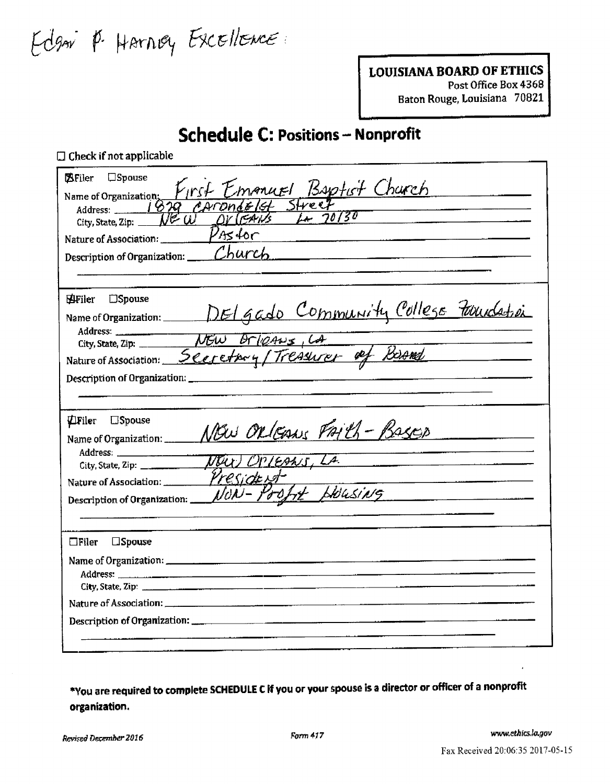Edgar P. Harney Excellence

**LOUISIANA BOARD OF ETHICS** Post Office Box 4368 Baton Rouge, Louisiana 70821

#### **Schedule C: Positions - Nonprofit**

 $\Box$  Check if not applicable

| Eiler Spouse                                                                                                                                             |  |
|----------------------------------------------------------------------------------------------------------------------------------------------------------|--|
| Name of Organization; FIrst Emanuel Baptist Church                                                                                                       |  |
| Address: 1829 CArondelst Street<br>City, State, Zip: New Orleans L+ 7                                                                                    |  |
| 20/30<br>City, State, Zip: $\overline{\mathcal{N}}$ $\overline{\mathcal{C}}$ $\overline{\mathcal{W}}$                                                    |  |
| Nature of Association: PAS for<br>.<br>1980 - Paris La Company de Carlos de Carlos de la Carlo de Carlos de Carlos de Carlos de Carlos de La Carlos d    |  |
| Church<br>Description of Organization:                                                                                                                   |  |
|                                                                                                                                                          |  |
| EFiler DSpouse                                                                                                                                           |  |
| Name of Organization: DEL gado Community College Foundation                                                                                              |  |
| Address: 2008                                                                                                                                            |  |
| Address:<br>City, State, Zip: <u>NEW Bridges, LA</u><br>Nature of Association: Secretory / Treasurer of Bosond                                           |  |
|                                                                                                                                                          |  |
|                                                                                                                                                          |  |
|                                                                                                                                                          |  |
| <b><i>Exiler</i></b> □ Spouse<br>Now Orleans FAILA - Bases<br>Name of Organization:                                                                      |  |
| City, State, Zip: VOU) OP LEANS, LA.                                                                                                                     |  |
| Nature of Association: Vresidest                                                                                                                         |  |
| Nature of Association: $\frac{\gamma_{resj}\rightarrow \gamma}{\beta_{min}}$<br>Description of Organization: $\frac{\beta_{min}}{\beta_{min}}$ blocksing |  |
|                                                                                                                                                          |  |
| $\Box$ Filer<br>$\square$ Spouse                                                                                                                         |  |
|                                                                                                                                                          |  |
|                                                                                                                                                          |  |
| City, State, Zip: $\overline{\phantom{a}}$                                                                                                               |  |
|                                                                                                                                                          |  |
|                                                                                                                                                          |  |
|                                                                                                                                                          |  |

\*You are required to complete SCHEDULE C if you or your spouse is a director or officer of a nonprofit organization.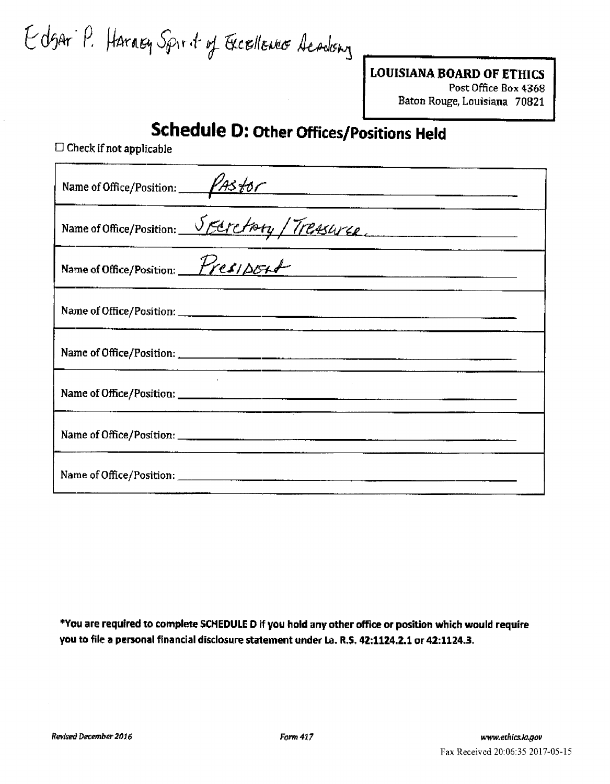Edgar P. Harary Spirit of Excellence Acodemy

**LOUISIANA BOARD OF ETHICS** Post Office Box 4368 Baton Rouge, Louisiana 70821

## **Schedule D: Other Offices/Positions Held**

 $\square$  Check if not applicable

| Name of Office/Position: VAS for                                                                      |
|-------------------------------------------------------------------------------------------------------|
| Name of Office/Position: <u>Sperctory</u> / Treasure                                                  |
| Name of Office/Position: $P$ res/ $\Delta 5 + d$<br><u> 1980 - Jan Barat, Amerikaansk politiker (</u> |
|                                                                                                       |
|                                                                                                       |
|                                                                                                       |
|                                                                                                       |
|                                                                                                       |

\*You are required to complete SCHEDULE D if you hold any other office or position which would require you to file a personal financial disclosure statement under La. R.S. 42:1124.2.1 or 42:1124.3.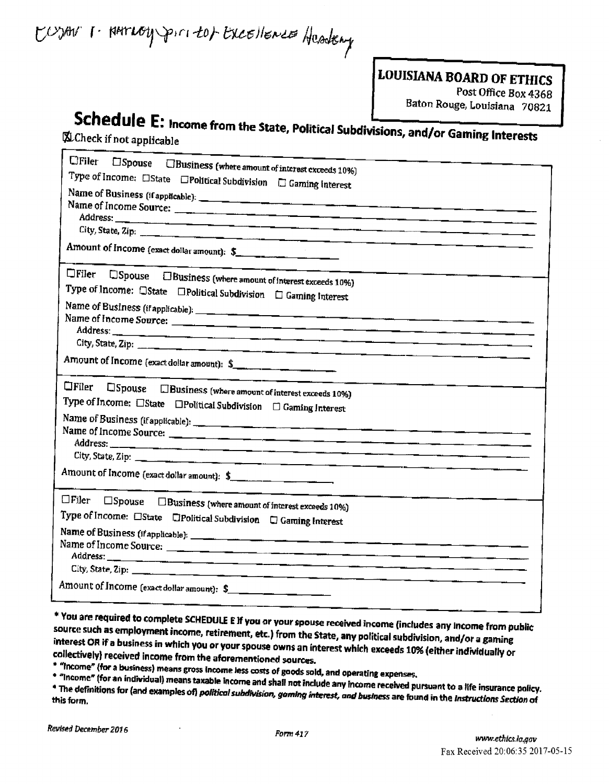# Cosser 1. HATLOY piritot Excellence Headery

**LOUISIANA BOARD OF ETHICS** 

Post Office Box 4368 Baton Rouge, Louisiana 70821

#### Schedule E: Income from the State, Political Subdivisions, and/or Gaming Interests **Z** Check if not applicable

| <b>UFiler</b><br><b>E</b> Spouse                                                                                                   |
|------------------------------------------------------------------------------------------------------------------------------------|
| Business (where amount of interest exceeds 10%)<br>Type of Income: [IState   $\Box$ Political Subdivision   $\Box$ Gaming Interest |
|                                                                                                                                    |
|                                                                                                                                    |
|                                                                                                                                    |
|                                                                                                                                    |
| Amount of Income (exact dollar amount): \$                                                                                         |
| $\Box$ Filer<br><b>USpouse</b><br><b>El Business</b> (where amount of interest exceeds 10%)                                        |
| Type of Income: □State □Political Subdivision □ Gaming Interest                                                                    |
|                                                                                                                                    |
|                                                                                                                                    |
|                                                                                                                                    |
|                                                                                                                                    |
| Amount of Income (exact dollar amount): \$                                                                                         |
| <b>UFiler</b><br>$\square$ Spouse<br><b>EBusiness (where amount of interest exceeds 10%)</b>                                       |
| Type of Income: □State □Political Subdivision □ Gaming Interest                                                                    |
|                                                                                                                                    |
| Name of Income Source:                                                                                                             |
|                                                                                                                                    |
|                                                                                                                                    |
| Amount of Income (exact dollar amount): \$                                                                                         |
| $\Box$ Filer<br>$\square$ Spouse<br>$\Box$ Business (where amount of interest exceeds 10%)                                         |
| Type of Income: CState CPolitical Subdivision C Gaming Interest                                                                    |
|                                                                                                                                    |
| Name of Income Source:                                                                                                             |
|                                                                                                                                    |
| Amount of Income (exact dollar amount): \$                                                                                         |
|                                                                                                                                    |

\* You are required to complete SCHEDULE E If you or your spouse received income (includes any income from public source such as employment income, retirement, etc.) from the State, any political subdivision, and/or a gaming interest OR if a business in which you or your spouse owns an interest which exceeds 10% (either individually or collectively) received income from the aforementioned sources.

\* "Income" (for a business) means gross income less costs of goods sold, and operating expenses.

\* "Income" (for an individual) means taxable income and shall not include any income received pursuant to a life insurance policy. \* The definitions for (and examples of) political subdivision, goming interest, and business are found in the Instructions Section of this form.